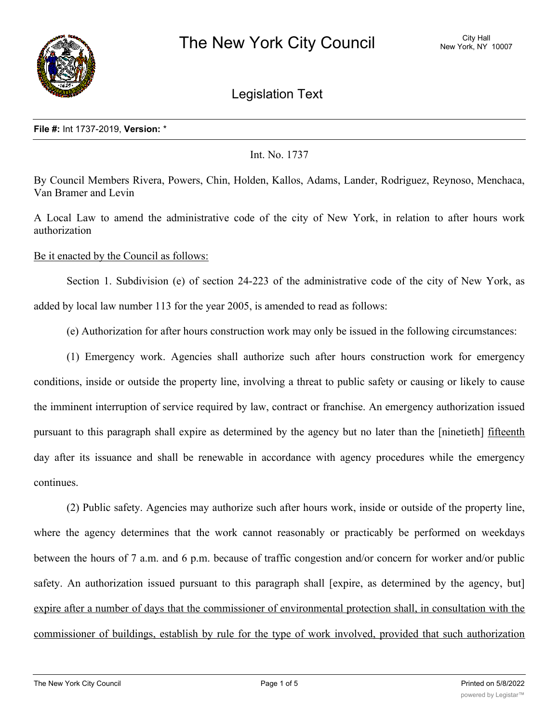

Legislation Text

## **File #:** Int 1737-2019, **Version:** \*

Int. No. 1737

By Council Members Rivera, Powers, Chin, Holden, Kallos, Adams, Lander, Rodriguez, Reynoso, Menchaca, Van Bramer and Levin

A Local Law to amend the administrative code of the city of New York, in relation to after hours work authorization

Be it enacted by the Council as follows:

Section 1. Subdivision (e) of section 24-223 of the administrative code of the city of New York, as added by local law number 113 for the year 2005, is amended to read as follows:

(e) Authorization for after hours construction work may only be issued in the following circumstances:

(1) Emergency work. Agencies shall authorize such after hours construction work for emergency conditions, inside or outside the property line, involving a threat to public safety or causing or likely to cause the imminent interruption of service required by law, contract or franchise. An emergency authorization issued pursuant to this paragraph shall expire as determined by the agency but no later than the [ninetieth] fifteenth day after its issuance and shall be renewable in accordance with agency procedures while the emergency continues.

(2) Public safety. Agencies may authorize such after hours work, inside or outside of the property line, where the agency determines that the work cannot reasonably or practicably be performed on weekdays between the hours of 7 a.m. and 6 p.m. because of traffic congestion and/or concern for worker and/or public safety. An authorization issued pursuant to this paragraph shall [expire, as determined by the agency, but] expire after a number of days that the commissioner of environmental protection shall, in consultation with the commissioner of buildings, establish by rule for the type of work involved, provided that such authorization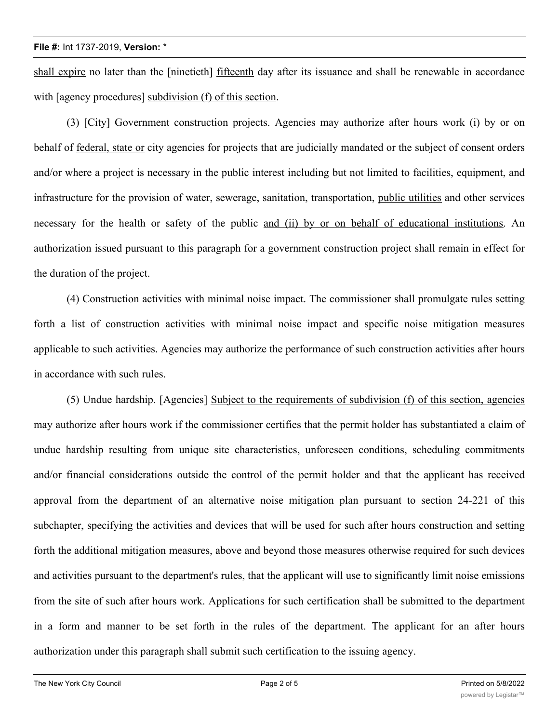## **File #:** Int 1737-2019, **Version:** \*

shall expire no later than the [ninetieth] fifteenth day after its issuance and shall be renewable in accordance with [agency procedures] subdivision (f) of this section.

(3) [City] Government construction projects. Agencies may authorize after hours work (i) by or on behalf of federal, state or city agencies for projects that are judicially mandated or the subject of consent orders and/or where a project is necessary in the public interest including but not limited to facilities, equipment, and infrastructure for the provision of water, sewerage, sanitation, transportation, public utilities and other services necessary for the health or safety of the public and (ii) by or on behalf of educational institutions. An authorization issued pursuant to this paragraph for a government construction project shall remain in effect for the duration of the project.

(4) Construction activities with minimal noise impact. The commissioner shall promulgate rules setting forth a list of construction activities with minimal noise impact and specific noise mitigation measures applicable to such activities. Agencies may authorize the performance of such construction activities after hours in accordance with such rules.

(5) Undue hardship. [Agencies] Subject to the requirements of subdivision (f) of this section, agencies may authorize after hours work if the commissioner certifies that the permit holder has substantiated a claim of undue hardship resulting from unique site characteristics, unforeseen conditions, scheduling commitments and/or financial considerations outside the control of the permit holder and that the applicant has received approval from the department of an alternative noise mitigation plan pursuant to section 24-221 of this subchapter, specifying the activities and devices that will be used for such after hours construction and setting forth the additional mitigation measures, above and beyond those measures otherwise required for such devices and activities pursuant to the department's rules, that the applicant will use to significantly limit noise emissions from the site of such after hours work. Applications for such certification shall be submitted to the department in a form and manner to be set forth in the rules of the department. The applicant for an after hours authorization under this paragraph shall submit such certification to the issuing agency.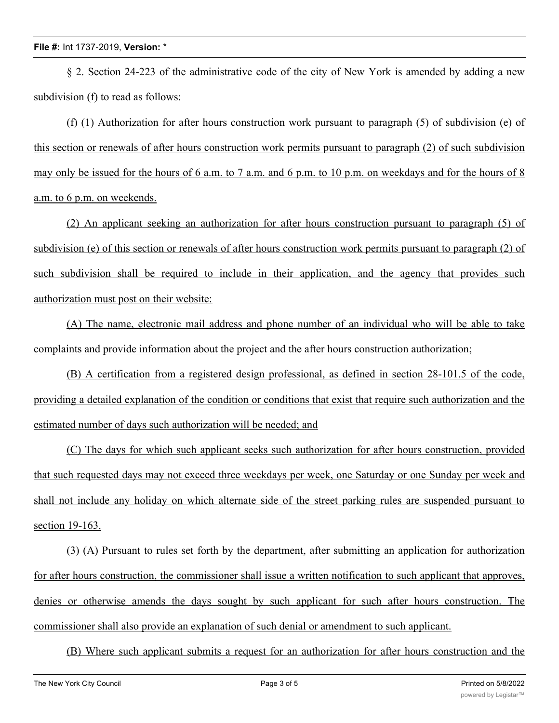§ 2. Section 24-223 of the administrative code of the city of New York is amended by adding a new subdivision (f) to read as follows:

(f) (1) Authorization for after hours construction work pursuant to paragraph (5) of subdivision (e) of this section or renewals of after hours construction work permits pursuant to paragraph (2) of such subdivision may only be issued for the hours of 6 a.m. to 7 a.m. and 6 p.m. to 10 p.m. on weekdays and for the hours of 8 a.m. to 6 p.m. on weekends.

(2) An applicant seeking an authorization for after hours construction pursuant to paragraph (5) of subdivision (e) of this section or renewals of after hours construction work permits pursuant to paragraph (2) of such subdivision shall be required to include in their application, and the agency that provides such authorization must post on their website:

(A) The name, electronic mail address and phone number of an individual who will be able to take complaints and provide information about the project and the after hours construction authorization;

(B) A certification from a registered design professional, as defined in section 28-101.5 of the code, providing a detailed explanation of the condition or conditions that exist that require such authorization and the estimated number of days such authorization will be needed; and

(C) The days for which such applicant seeks such authorization for after hours construction, provided that such requested days may not exceed three weekdays per week, one Saturday or one Sunday per week and shall not include any holiday on which alternate side of the street parking rules are suspended pursuant to section 19-163.

(3) (A) Pursuant to rules set forth by the department, after submitting an application for authorization for after hours construction, the commissioner shall issue a written notification to such applicant that approves, denies or otherwise amends the days sought by such applicant for such after hours construction. The commissioner shall also provide an explanation of such denial or amendment to such applicant.

(B) Where such applicant submits a request for an authorization for after hours construction and the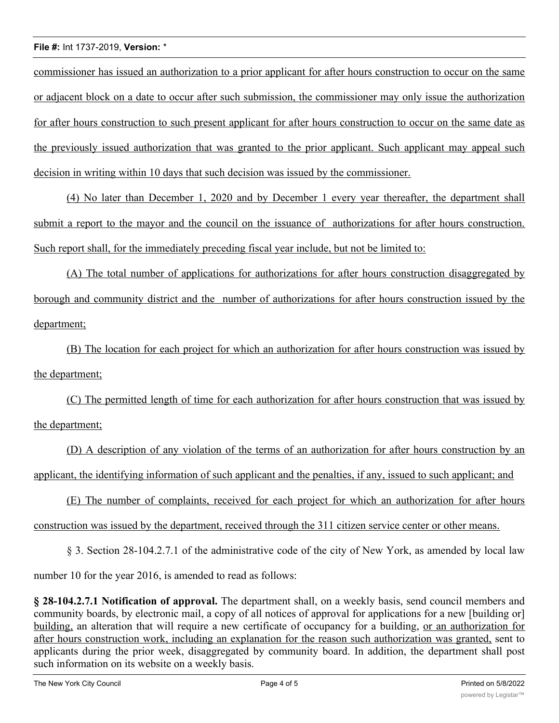## **File #:** Int 1737-2019, **Version:** \*

commissioner has issued an authorization to a prior applicant for after hours construction to occur on the same or adjacent block on a date to occur after such submission, the commissioner may only issue the authorization for after hours construction to such present applicant for after hours construction to occur on the same date as the previously issued authorization that was granted to the prior applicant. Such applicant may appeal such decision in writing within 10 days that such decision was issued by the commissioner.

(4) No later than December 1, 2020 and by December 1 every year thereafter, the department shall submit a report to the mayor and the council on the issuance of authorizations for after hours construction. Such report shall, for the immediately preceding fiscal year include, but not be limited to:

(A) The total number of applications for authorizations for after hours construction disaggregated by borough and community district and the number of authorizations for after hours construction issued by the department;

(B) The location for each project for which an authorization for after hours construction was issued by the department;

(C) The permitted length of time for each authorization for after hours construction that was issued by the department;

(D) A description of any violation of the terms of an authorization for after hours construction by an applicant, the identifying information of such applicant and the penalties, if any, issued to such applicant; and

(E) The number of complaints, received for each project for which an authorization for after hours construction was issued by the department, received through the 311 citizen service center or other means.

§ 3. Section 28-104.2.7.1 of the administrative code of the city of New York, as amended by local law

number 10 for the year 2016, is amended to read as follows:

**§ 28-104.2.7.1 Notification of approval.** The department shall, on a weekly basis, send council members and community boards, by electronic mail, a copy of all notices of approval for applications for a new [building or] building, an alteration that will require a new certificate of occupancy for a building, or an authorization for after hours construction work, including an explanation for the reason such authorization was granted, sent to applicants during the prior week, disaggregated by community board. In addition, the department shall post such information on its website on a weekly basis.